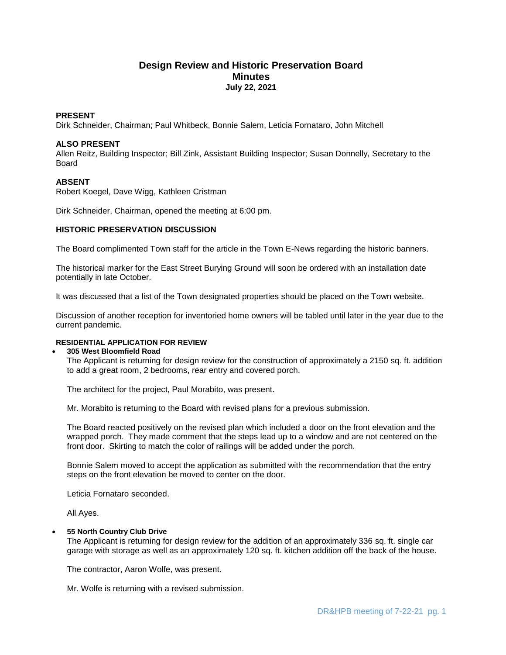# **Design Review and Historic Preservation Board Minutes July 22, 2021**

## **PRESENT**

Dirk Schneider, Chairman; Paul Whitbeck, Bonnie Salem, Leticia Fornataro, John Mitchell

## **ALSO PRESENT**

Allen Reitz, Building Inspector; Bill Zink, Assistant Building Inspector; Susan Donnelly, Secretary to the Board

## **ABSENT**

Robert Koegel, Dave Wigg, Kathleen Cristman

Dirk Schneider, Chairman, opened the meeting at 6:00 pm.

## **HISTORIC PRESERVATION DISCUSSION**

The Board complimented Town staff for the article in the Town E-News regarding the historic banners.

The historical marker for the East Street Burying Ground will soon be ordered with an installation date potentially in late October.

It was discussed that a list of the Town designated properties should be placed on the Town website.

Discussion of another reception for inventoried home owners will be tabled until later in the year due to the current pandemic.

# **RESIDENTIAL APPLICATION FOR REVIEW**

### **305 West Bloomfield Road**

The Applicant is returning for design review for the construction of approximately a 2150 sq. ft. addition to add a great room, 2 bedrooms, rear entry and covered porch.

The architect for the project, Paul Morabito, was present.

Mr. Morabito is returning to the Board with revised plans for a previous submission.

The Board reacted positively on the revised plan which included a door on the front elevation and the wrapped porch. They made comment that the steps lead up to a window and are not centered on the front door. Skirting to match the color of railings will be added under the porch.

Bonnie Salem moved to accept the application as submitted with the recommendation that the entry steps on the front elevation be moved to center on the door.

Leticia Fornataro seconded.

All Ayes.

## **55 North Country Club Drive**

The Applicant is returning for design review for the addition of an approximately 336 sq. ft. single car garage with storage as well as an approximately 120 sq. ft. kitchen addition off the back of the house.

The contractor, Aaron Wolfe, was present.

Mr. Wolfe is returning with a revised submission.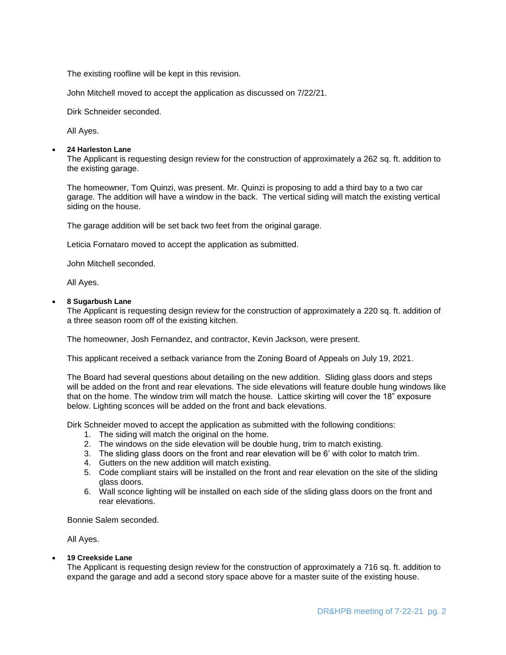The existing roofline will be kept in this revision.

John Mitchell moved to accept the application as discussed on 7/22/21.

Dirk Schneider seconded.

All Ayes.

### **24 Harleston Lane**

The Applicant is requesting design review for the construction of approximately a 262 sq. ft. addition to the existing garage.

The homeowner, Tom Quinzi, was present. Mr. Quinzi is proposing to add a third bay to a two car garage. The addition will have a window in the back. The vertical siding will match the existing vertical siding on the house.

The garage addition will be set back two feet from the original garage.

Leticia Fornataro moved to accept the application as submitted.

John Mitchell seconded.

All Ayes.

## **8 Sugarbush Lane**

The Applicant is requesting design review for the construction of approximately a 220 sq. ft. addition of a three season room off of the existing kitchen.

The homeowner, Josh Fernandez, and contractor, Kevin Jackson, were present.

This applicant received a setback variance from the Zoning Board of Appeals on July 19, 2021.

The Board had several questions about detailing on the new addition. Sliding glass doors and steps will be added on the front and rear elevations. The side elevations will feature double hung windows like that on the home. The window trim will match the house. Lattice skirting will cover the 18" exposure below. Lighting sconces will be added on the front and back elevations.

Dirk Schneider moved to accept the application as submitted with the following conditions:

- 1. The siding will match the original on the home.
- 2. The windows on the side elevation will be double hung, trim to match existing.
- 3. The sliding glass doors on the front and rear elevation will be 6' with color to match trim.
- 4. Gutters on the new addition will match existing.
- 5. Code compliant stairs will be installed on the front and rear elevation on the site of the sliding glass doors.
- 6. Wall sconce lighting will be installed on each side of the sliding glass doors on the front and rear elevations.

Bonnie Salem seconded.

All Ayes.

**19 Creekside Lane**

The Applicant is requesting design review for the construction of approximately a 716 sq. ft. addition to expand the garage and add a second story space above for a master suite of the existing house.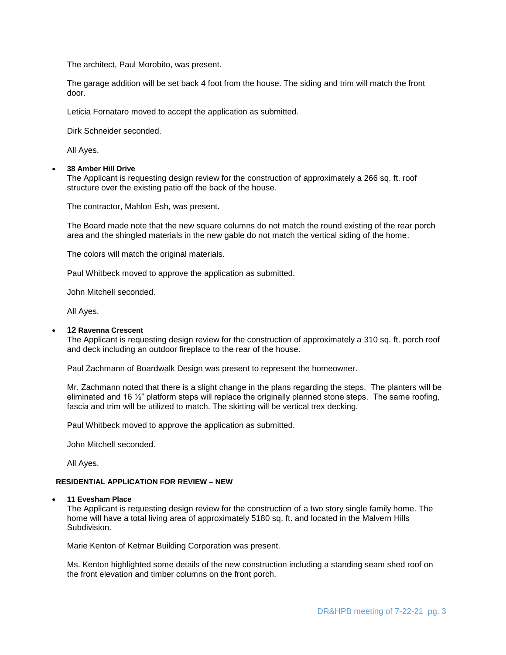The architect, Paul Morobito, was present.

The garage addition will be set back 4 foot from the house. The siding and trim will match the front door.

Leticia Fornataro moved to accept the application as submitted.

Dirk Schneider seconded.

All Ayes.

## **38 Amber Hill Drive**

The Applicant is requesting design review for the construction of approximately a 266 sq. ft. roof structure over the existing patio off the back of the house.

The contractor, Mahlon Esh, was present.

The Board made note that the new square columns do not match the round existing of the rear porch area and the shingled materials in the new gable do not match the vertical siding of the home.

The colors will match the original materials.

Paul Whitbeck moved to approve the application as submitted.

John Mitchell seconded.

All Ayes.

## **12 Ravenna Crescent**

The Applicant is requesting design review for the construction of approximately a 310 sq. ft. porch roof and deck including an outdoor fireplace to the rear of the house.

Paul Zachmann of Boardwalk Design was present to represent the homeowner.

Mr. Zachmann noted that there is a slight change in the plans regarding the steps. The planters will be eliminated and 16  $\frac{1}{2}$ " platform steps will replace the originally planned stone steps. The same roofing, fascia and trim will be utilized to match. The skirting will be vertical trex decking.

Paul Whitbeck moved to approve the application as submitted.

John Mitchell seconded.

All Ayes.

## **RESIDENTIAL APPLICATION FOR REVIEW – NEW**

### **11 Evesham Place**

The Applicant is requesting design review for the construction of a two story single family home. The home will have a total living area of approximately 5180 sq. ft. and located in the Malvern Hills Subdivision.

Marie Kenton of Ketmar Building Corporation was present.

Ms. Kenton highlighted some details of the new construction including a standing seam shed roof on the front elevation and timber columns on the front porch.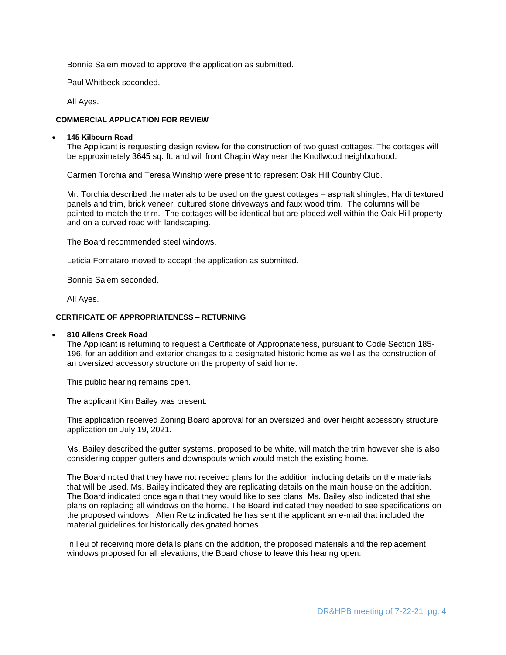Bonnie Salem moved to approve the application as submitted.

Paul Whitbeck seconded.

All Ayes.

## **COMMERCIAL APPLICATION FOR REVIEW**

## **145 Kilbourn Road**

The Applicant is requesting design review for the construction of two guest cottages. The cottages will be approximately 3645 sq. ft. and will front Chapin Way near the Knollwood neighborhood.

Carmen Torchia and Teresa Winship were present to represent Oak Hill Country Club.

Mr. Torchia described the materials to be used on the guest cottages – asphalt shingles, Hardi textured panels and trim, brick veneer, cultured stone driveways and faux wood trim. The columns will be painted to match the trim. The cottages will be identical but are placed well within the Oak Hill property and on a curved road with landscaping.

The Board recommended steel windows.

Leticia Fornataro moved to accept the application as submitted.

Bonnie Salem seconded.

All Ayes.

## **CERTIFICATE OF APPROPRIATENESS – RETURNING**

### **810 Allens Creek Road**

The Applicant is returning to request a Certificate of Appropriateness, pursuant to Code Section 185- 196, for an addition and exterior changes to a designated historic home as well as the construction of an oversized accessory structure on the property of said home.

This public hearing remains open.

The applicant Kim Bailey was present.

This application received Zoning Board approval for an oversized and over height accessory structure application on July 19, 2021.

Ms. Bailey described the gutter systems, proposed to be white, will match the trim however she is also considering copper gutters and downspouts which would match the existing home.

The Board noted that they have not received plans for the addition including details on the materials that will be used. Ms. Bailey indicated they are replicating details on the main house on the addition. The Board indicated once again that they would like to see plans. Ms. Bailey also indicated that she plans on replacing all windows on the home. The Board indicated they needed to see specifications on the proposed windows. Allen Reitz indicated he has sent the applicant an e-mail that included the material guidelines for historically designated homes.

In lieu of receiving more details plans on the addition, the proposed materials and the replacement windows proposed for all elevations, the Board chose to leave this hearing open.